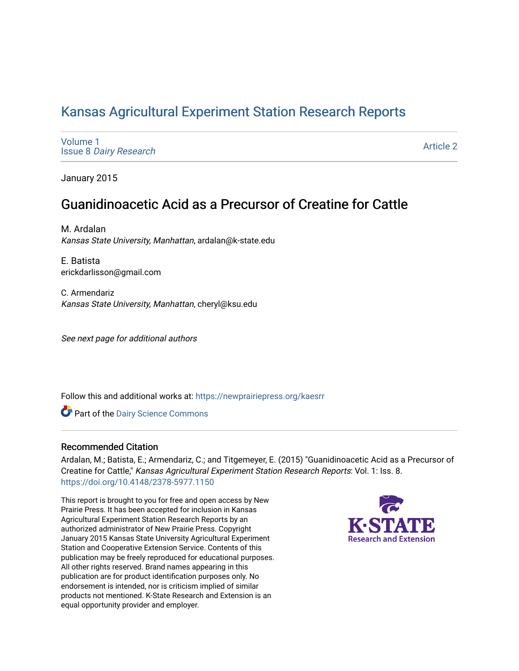# [Kansas Agricultural Experiment Station Research Reports](https://newprairiepress.org/kaesrr)

[Volume 1](https://newprairiepress.org/kaesrr/vol1) Issue 8 [Dairy Research](https://newprairiepress.org/kaesrr/vol1/iss8) 

[Article 2](https://newprairiepress.org/kaesrr/vol1/iss8/2) 

January 2015

# Guanidinoacetic Acid as a Precursor of Creatine for Cattle

M. Ardalan Kansas State University, Manhattan, ardalan@k-state.edu

E. Batista erickdarlisson@gmail.com

C. Armendariz Kansas State University, Manhattan, cheryl@ksu.edu

See next page for additional authors

Follow this and additional works at: [https://newprairiepress.org/kaesrr](https://newprairiepress.org/kaesrr?utm_source=newprairiepress.org%2Fkaesrr%2Fvol1%2Fiss8%2F2&utm_medium=PDF&utm_campaign=PDFCoverPages) 

Part of the [Dairy Science Commons](http://network.bepress.com/hgg/discipline/79?utm_source=newprairiepress.org%2Fkaesrr%2Fvol1%2Fiss8%2F2&utm_medium=PDF&utm_campaign=PDFCoverPages) 

#### Recommended Citation

Ardalan, M.; Batista, E.; Armendariz, C.; and Titgemeyer, E. (2015) "Guanidinoacetic Acid as a Precursor of Creatine for Cattle," Kansas Agricultural Experiment Station Research Reports: Vol. 1: Iss. 8. <https://doi.org/10.4148/2378-5977.1150>

This report is brought to you for free and open access by New Prairie Press. It has been accepted for inclusion in Kansas Agricultural Experiment Station Research Reports by an authorized administrator of New Prairie Press. Copyright January 2015 Kansas State University Agricultural Experiment Station and Cooperative Extension Service. Contents of this publication may be freely reproduced for educational purposes. All other rights reserved. Brand names appearing in this publication are for product identification purposes only. No endorsement is intended, nor is criticism implied of similar products not mentioned. K-State Research and Extension is an equal opportunity provider and employer.

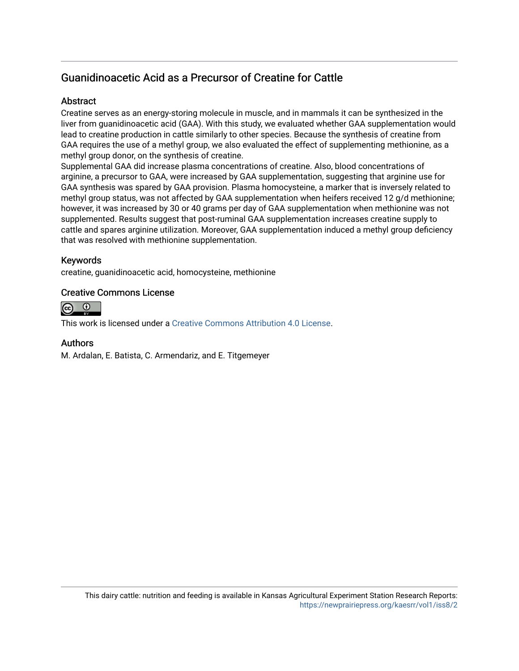## Guanidinoacetic Acid as a Precursor of Creatine for Cattle

#### **Abstract**

Creatine serves as an energy-storing molecule in muscle, and in mammals it can be synthesized in the liver from guanidinoacetic acid (GAA). With this study, we evaluated whether GAA supplementation would lead to creatine production in cattle similarly to other species. Because the synthesis of creatine from GAA requires the use of a methyl group, we also evaluated the effect of supplementing methionine, as a methyl group donor, on the synthesis of creatine.

Supplemental GAA did increase plasma concentrations of creatine. Also, blood concentrations of arginine, a precursor to GAA, were increased by GAA supplementation, suggesting that arginine use for GAA synthesis was spared by GAA provision. Plasma homocysteine, a marker that is inversely related to methyl group status, was not affected by GAA supplementation when heifers received 12 g/d methionine; however, it was increased by 30 or 40 grams per day of GAA supplementation when methionine was not supplemented. Results suggest that post-ruminal GAA supplementation increases creatine supply to cattle and spares arginine utilization. Moreover, GAA supplementation induced a methyl group deficiency that was resolved with methionine supplementation.

### Keywords

creatine, guanidinoacetic acid, homocysteine, methionine

#### Creative Commons License



This work is licensed under a [Creative Commons Attribution 4.0 License](https://creativecommons.org/licenses/by/4.0/).

#### Authors

M. Ardalan, E. Batista, C. Armendariz, and E. Titgemeyer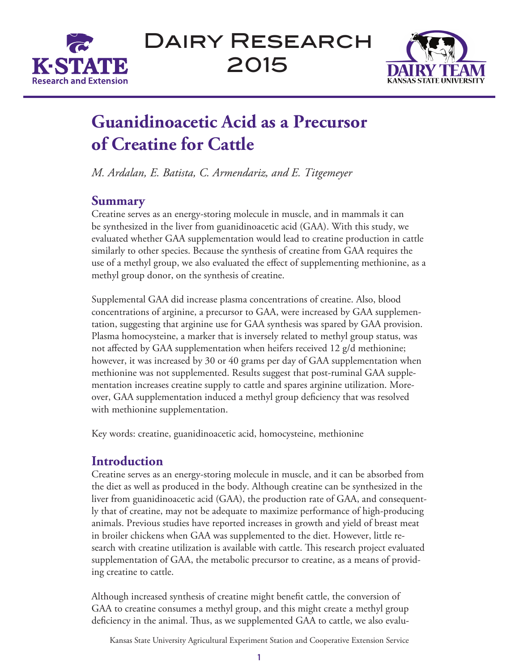



# **Guanidinoacetic Acid as a Precursor of Creatine for Cattle**

*M. Ardalan, E. Batista, C. Armendariz, and E. Titgemeyer*

## **Summary**

Creatine serves as an energy-storing molecule in muscle, and in mammals it can be synthesized in the liver from guanidinoacetic acid (GAA). With this study, we evaluated whether GAA supplementation would lead to creatine production in cattle similarly to other species. Because the synthesis of creatine from GAA requires the use of a methyl group, we also evaluated the effect of supplementing methionine, as a methyl group donor, on the synthesis of creatine.

Supplemental GAA did increase plasma concentrations of creatine. Also, blood concentrations of arginine, a precursor to GAA, were increased by GAA supplementation, suggesting that arginine use for GAA synthesis was spared by GAA provision. Plasma homocysteine, a marker that is inversely related to methyl group status, was not affected by GAA supplementation when heifers received 12 g/d methionine; however, it was increased by 30 or 40 grams per day of GAA supplementation when methionine was not supplemented. Results suggest that post-ruminal GAA supplementation increases creatine supply to cattle and spares arginine utilization. Moreover, GAA supplementation induced a methyl group deficiency that was resolved with methionine supplementation.

Key words: creatine, guanidinoacetic acid, homocysteine, methionine

# **Introduction**

Creatine serves as an energy-storing molecule in muscle, and it can be absorbed from the diet as well as produced in the body. Although creatine can be synthesized in the liver from guanidinoacetic acid (GAA), the production rate of GAA, and consequently that of creatine, may not be adequate to maximize performance of high-producing animals. Previous studies have reported increases in growth and yield of breast meat in broiler chickens when GAA was supplemented to the diet. However, little research with creatine utilization is available with cattle. This research project evaluated supplementation of GAA, the metabolic precursor to creatine, as a means of providing creatine to cattle.

Although increased synthesis of creatine might benefit cattle, the conversion of GAA to creatine consumes a methyl group, and this might create a methyl group deficiency in the animal. Thus, as we supplemented GAA to cattle, we also evalu-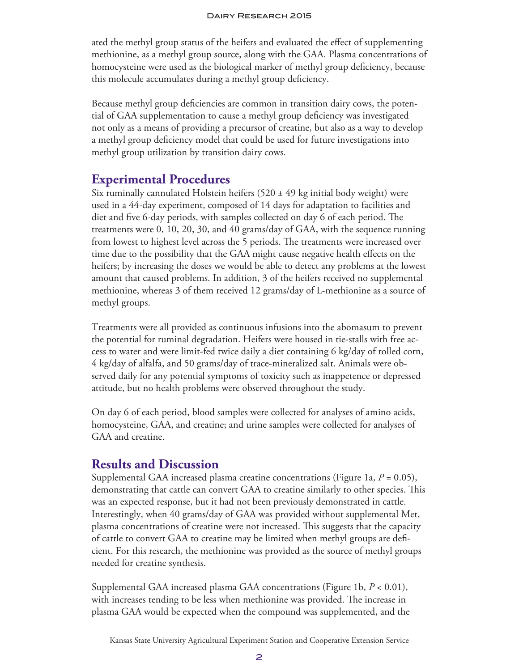ated the methyl group status of the heifers and evaluated the effect of supplementing methionine, as a methyl group source, along with the GAA. Plasma concentrations of homocysteine were used as the biological marker of methyl group deficiency, because this molecule accumulates during a methyl group deficiency.

Because methyl group deficiencies are common in transition dairy cows, the potential of GAA supplementation to cause a methyl group deficiency was investigated not only as a means of providing a precursor of creatine, but also as a way to develop a methyl group deficiency model that could be used for future investigations into methyl group utilization by transition dairy cows.

### **Experimental Procedures**

Six ruminally cannulated Holstein heifers  $(520 \pm 49 \text{ kg}$  initial body weight) were used in a 44-day experiment, composed of 14 days for adaptation to facilities and diet and five 6-day periods, with samples collected on day 6 of each period. The treatments were 0, 10, 20, 30, and 40 grams/day of GAA, with the sequence running from lowest to highest level across the 5 periods. The treatments were increased over time due to the possibility that the GAA might cause negative health effects on the heifers; by increasing the doses we would be able to detect any problems at the lowest amount that caused problems. In addition, 3 of the heifers received no supplemental methionine, whereas 3 of them received 12 grams/day of L-methionine as a source of methyl groups.

Treatments were all provided as continuous infusions into the abomasum to prevent the potential for ruminal degradation. Heifers were housed in tie-stalls with free access to water and were limit-fed twice daily a diet containing 6 kg/day of rolled corn, 4 kg/day of alfalfa, and 50 grams/day of trace-mineralized salt. Animals were observed daily for any potential symptoms of toxicity such as inappetence or depressed attitude, but no health problems were observed throughout the study.

On day 6 of each period, blood samples were collected for analyses of amino acids, homocysteine, GAA, and creatine; and urine samples were collected for analyses of GAA and creatine.

### **Results and Discussion**

Supplemental GAA increased plasma creatine concentrations (Figure 1a,  $P = 0.05$ ), demonstrating that cattle can convert GAA to creatine similarly to other species. This was an expected response, but it had not been previously demonstrated in cattle. Interestingly, when 40 grams/day of GAA was provided without supplemental Met, plasma concentrations of creatine were not increased. This suggests that the capacity of cattle to convert GAA to creatine may be limited when methyl groups are deficient. For this research, the methionine was provided as the source of methyl groups needed for creatine synthesis.

Supplemental GAA increased plasma GAA concentrations (Figure 1b, *P* < 0.01), with increases tending to be less when methionine was provided. The increase in plasma GAA would be expected when the compound was supplemented, and the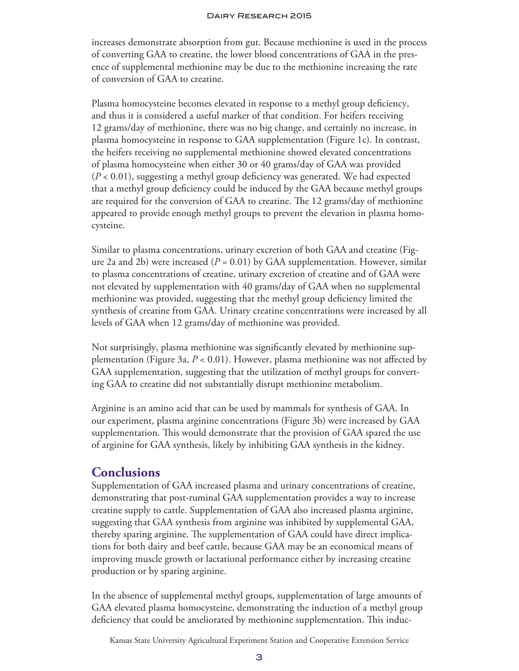increases demonstrate absorption from gut. Because methionine is used in the process of converting GAA to creatine, the lower blood concentrations of GAA in the presence of supplemental methionine may be due to the methionine increasing the rate of conversion of GAA to creatine.

Plasma homocysteine becomes elevated in response to a methyl group deficiency, and thus it is considered a useful marker of that condition. For heifers receiving 12 grams/day of methionine, there was no big change, and certainly no increase, in plasma homocysteine in response to GAA supplementation (Figure 1c). In contrast, the heifers receiving no supplemental methionine showed elevated concentrations of plasma homocysteine when either 30 or 40 grams/day of GAA was provided  $(P < 0.01)$ , suggesting a methyl group deficiency was generated. We had expected that a methyl group deficiency could be induced by the GAA because methyl groups are required for the conversion of GAA to creatine. The 12 grams/day of methionine appeared to provide enough methyl groups to prevent the elevation in plasma homocysteine.

Similar to plasma concentrations, urinary excretion of both GAA and creatine (Figure 2a and 2b) were increased  $(P = 0.01)$  by GAA supplementation. However, similar to plasma concentrations of creatine, urinary excretion of creatine and of GAA were not elevated by supplementation with 40 grams/day of GAA when no supplemental methionine was provided, suggesting that the methyl group deficiency limited the synthesis of creatine from GAA. Urinary creatine concentrations were increased by all levels of GAA when 12 grams/day of methionine was provided.

Not surprisingly, plasma methionine was significantly elevated by methionine supplementation (Figure 3a, *P* < 0.01). However, plasma methionine was not affected by GAA supplementation, suggesting that the utilization of methyl groups for converting GAA to creatine did not substantially disrupt methionine metabolism.

Arginine is an amino acid that can be used by mammals for synthesis of GAA. In our experiment, plasma arginine concentrations (Figure 3b) were increased by GAA supplementation. This would demonstrate that the provision of GAA spared the use of arginine for GAA synthesis, likely by inhibiting GAA synthesis in the kidney.

### **Conclusions**

Supplementation of GAA increased plasma and urinary concentrations of creatine, demonstrating that post-ruminal GAA supplementation provides a way to increase creatine supply to cattle. Supplementation of GAA also increased plasma arginine, suggesting that GAA synthesis from arginine was inhibited by supplemental GAA, thereby sparing arginine. The supplementation of GAA could have direct implications for both dairy and beef cattle, because GAA may be an economical means of improving muscle growth or lactational performance either by increasing creatine production or by sparing arginine.

In the absence of supplemental methyl groups, supplementation of large amounts of GAA elevated plasma homocysteine, demonstrating the induction of a methyl group deficiency that could be ameliorated by methionine supplementation. This induc-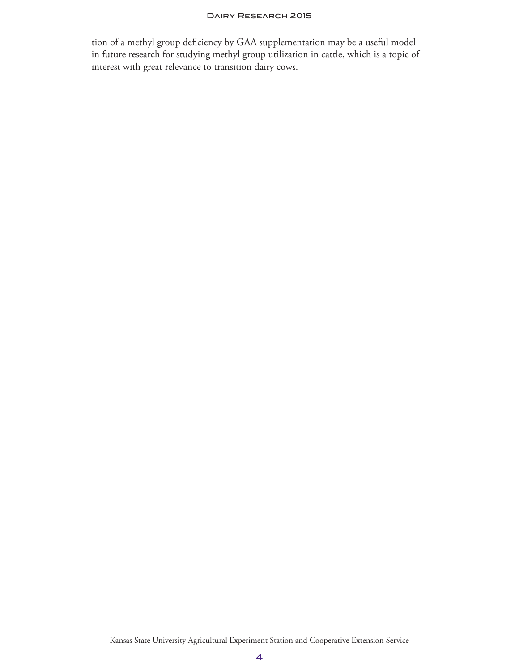tion of a methyl group deficiency by GAA supplementation may be a useful model in future research for studying methyl group utilization in cattle, which is a topic of interest with great relevance to transition dairy cows.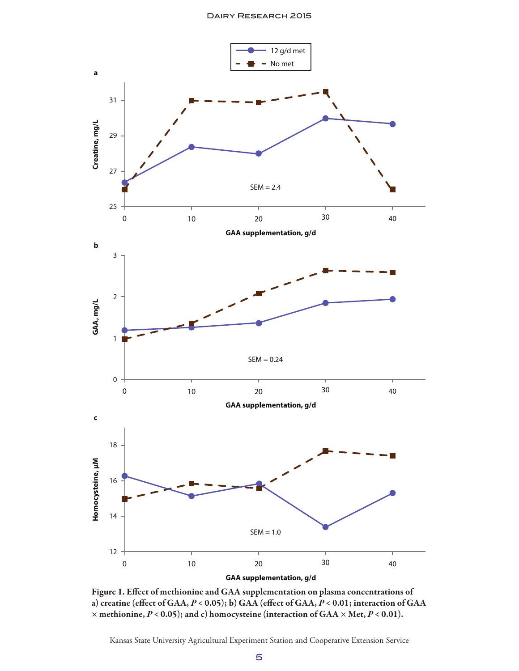

Figure 1. Effect of methionine and GAA supplementation on plasma concentrations of a) creatine (effect of GAA, *P* < 0.05); b) GAA (effect of GAA, *P* < 0.01; interaction of GAA × methionine, *P* < 0.05); and c) homocysteine (interaction of GAA × Met, *P* < 0.01).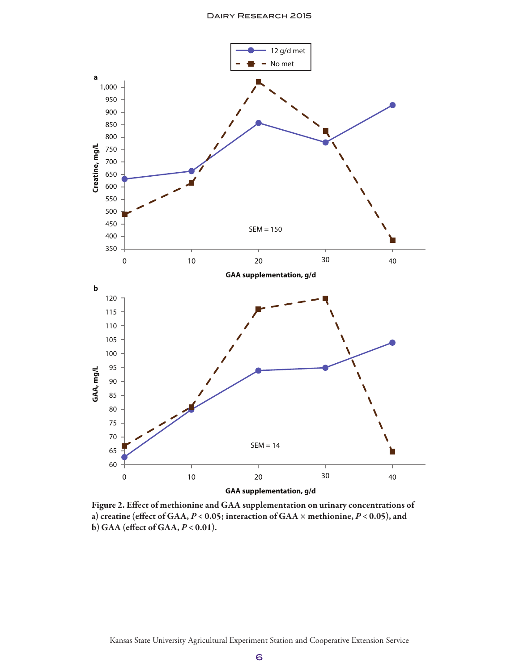

Figure 2. Effect of methionine and GAA supplementation on urinary concentrations of a) creatine (effect of GAA, *P* < 0.05; interaction of GAA × methionine, *P* < 0.05), and b) GAA (effect of GAA, *P* < 0.01).